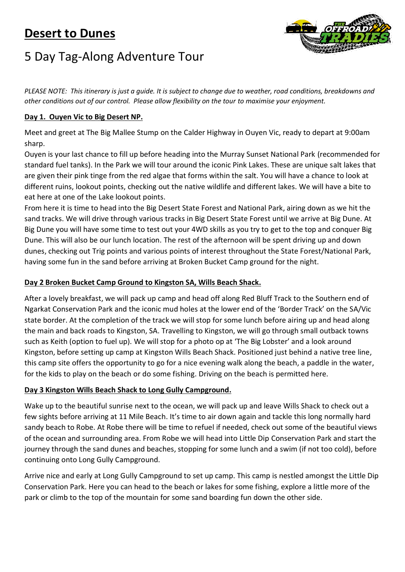## **Desert to Dunes**



# 5 Day Tag-Along Adventure Tour

*PLEASE NOTE: This itinerary is just a guide. It is subject to change due to weather, road conditions, breakdowns and other conditions out of our control. Please allow flexibility on the tour to maximise your enjoyment.* 

## **Day 1. Ouyen Vic to Big Desert NP.**

Meet and greet at The Big Mallee Stump on the Calder Highway in Ouyen Vic, ready to depart at 9:00am sharp.

Ouyen is your last chance to fill up before heading into the Murray Sunset National Park (recommended for standard fuel tanks). In the Park we will tour around the iconic Pink Lakes. These are unique salt lakes that are given their pink tinge from the red algae that forms within the salt. You will have a chance to look at different ruins, lookout points, checking out the native wildlife and different lakes. We will have a bite to eat here at one of the Lake lookout points.

From here it is time to head into the Big Desert State Forest and National Park, airing down as we hit the sand tracks. We will drive through various tracks in Big Desert State Forest until we arrive at Big Dune. At Big Dune you will have some time to test out your 4WD skills as you try to get to the top and conquer Big Dune. This will also be our lunch location. The rest of the afternoon will be spent driving up and down dunes, checking out Trig points and various points of interest throughout the State Forest/National Park, having some fun in the sand before arriving at Broken Bucket Camp ground for the night.

## **Day 2 Broken Bucket Camp Ground to Kingston SA, Wills Beach Shack.**

After a lovely breakfast, we will pack up camp and head off along Red Bluff Track to the Southern end of Ngarkat Conservation Park and the iconic mud holes at the lower end of the 'Border Track' on the SA/Vic state border. At the completion of the track we will stop for some lunch before airing up and head along the main and back roads to Kingston, SA. Travelling to Kingston, we will go through small outback towns such as Keith (option to fuel up). We will stop for a photo op at 'The Big Lobster' and a look around Kingston, before setting up camp at Kingston Wills Beach Shack. Positioned just behind a native tree line, this camp site offers the opportunity to go for a nice evening walk along the beach, a paddle in the water, for the kids to play on the beach or do some fishing. Driving on the beach is permitted here.

#### **Day 3 Kingston Wills Beach Shack to Long Gully Campground.**

Wake up to the beautiful sunrise next to the ocean, we will pack up and leave Wills Shack to check out a few sights before arriving at 11 Mile Beach. It's time to air down again and tackle this long normally hard sandy beach to Robe. At Robe there will be time to refuel if needed, check out some of the beautiful views of the ocean and surrounding area. From Robe we will head into Little Dip Conservation Park and start the journey through the sand dunes and beaches, stopping for some lunch and a swim (if not too cold), before continuing onto Long Gully Campground.

Arrive nice and early at Long Gully Campground to set up camp. This camp is nestled amongst the Little Dip Conservation Park. Here you can head to the beach or lakes for some fishing, explore a little more of the park or climb to the top of the mountain for some sand boarding fun down the other side.